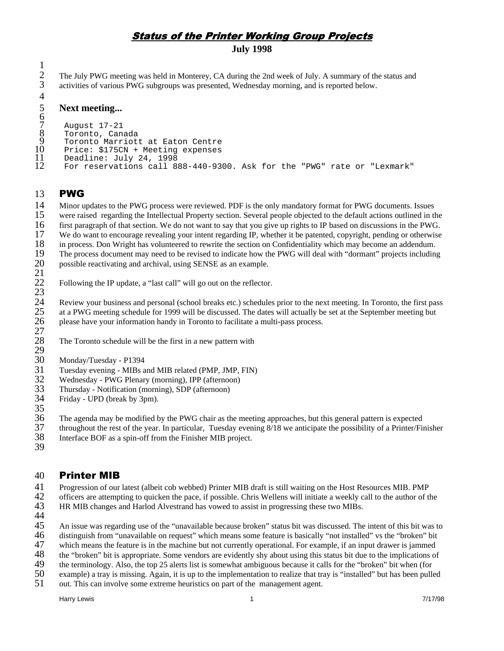# **Status of the Printer Working Group Projects**

**July 1998**

The July PWG meeting was held in Monterey, CA during the 2nd week of July. A summary of the status and activities of various PWG subgroups was presented, Wednesday morning, and is reported below.

# **Next meeting...**

```
6
 7
 8
 9
10
11
12
       August 17-21
       Toronto, Canada
       Toronto Marriott at Eaton Centre
       Price: $175CN + Meeting expenses
       Deadline: July 24, 1998
       For reservations call 888-440-9300. Ask for the "PWG" rate or "Lexmark"
```
#### 13 **PWG**

> Minor updates to the PWG process were reviewed. PDF is the only mandatory format for PWG documents. Issues were raised regarding the Intellectual Property section. Several people objected to the default actions outlined in the first paragraph of that section. We do not want to say that you give up rights to IP based on discussions in the PWG. We do want to encourage revealing your intent regarding IP, whether it be patented, copyright, pending or otherwise in process. Don Wright has volunteered to rewrite the section on Confidentiality which may become an addendum. The process document may need to be revised to indicate how the PWG will deal with "dormant" projects including

20 possible reactivating and archival, using SENSE as an example.

# 21

22 23 Following the IP update, a "last call" will go out on the reflector.

24 25 26 27 Review your business and personal (school breaks etc.) schedules prior to the next meeting. In Toronto, the first pass at a PWG meeting schedule for 1999 will be discussed. The dates will actually be set at the September meeting but please have your information handy in Toronto to facilitate a multi-pass process.

- 28 29 The Toronto schedule will be the first in a new pattern with
- 30 Monday/Tuesday - P1394
- 31 Tuesday evening - MIBs and MIB related (PMP, JMP, FIN)
- 32 Wednesday - PWG Plenary (morning), IPP (afternoon)
- 33 Thursday - Notification (morning), SDP (afternoon)
- 34 Friday - UPD (break by 3pm).
- 35
- 36 The agenda may be modified by the PWG chair as the meeting approaches, but this general pattern is expected
- 37 38 throughout the rest of the year. In particular, Tuesday evening 8/18 we anticipate the possibility of a Printer/Finisher Interface BOF as a spin-off from the Finisher MIB project.
- 39

#### 40 **Printer MIB**

- 41 Progression of our latest (albeit cob webbed) Printer MIB draft is still waiting on the Host Resources MIB. PMP
- 42 43 officers are attempting to quicken the pace, if possible. Chris Wellens will initiate a weekly call to the author of the HR MIB changes and Harlod Alvestrand has vowed to assist in progressing these two MIBs.
- 
- 44
- 45 An issue was regarding use of the "unavailable because broken" status bit was discussed. The intent of this bit was to
- 46 distinguish from "unavailable on request" which means some feature is basically "not installed" vs the "broken" bit
- 47 48 which means the feature is in the machine but not currently operational. For example, if an input drawer is jammed the "broken" bit is appropriate. Some vendors are evidently shy about using this status bit due to the implications of
- 49 the terminology. Also, the top 25 alerts list is somewhat ambiguous because it calls for the "broken" bit when (for
- 50 example) a tray is missing. Again, it is up to the implementation to realize that tray is "installed" but has been pulled
- 51 out. This can involve some extreme heuristics on part of the management agent.

Harry Lewis 1 7/17/98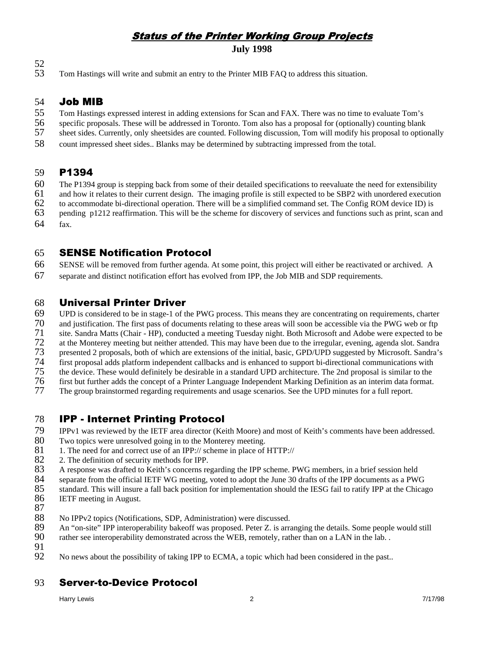# **Status of the Printer Working Group Projects**

**July 1998**

- 52
- 53 Tom Hastings will write and submit an entry to the Printer MIB FAQ to address this situation.

### 54 Job MIB

- 55 Tom Hastings expressed interest in adding extensions for Scan and FAX. There was no time to evaluate Tom's
- 56 specific proposals. These will be addressed in Toronto. Tom also has a proposal for (optionally) counting blank
- 57 sheet sides. Currently, only sheetsides are counted. Following discussion, Tom will modify his proposal to optionally
- 58 count impressed sheet sides.. Blanks may be determined by subtracting impressed from the total.

#### 59 P1394

- 60 The P1394 group is stepping back from some of their detailed specifications to reevaluate the need for extensibility
- 61 and how it relates to their current design. The imaging profile is still expected to be SBP2 with unordered execution
- 62 to accommodate bi-directional operation. There will be a simplified command set. The Config ROM device ID) is
- 63 pending p1212 reaffirmation. This will be the scheme for discovery of services and functions such as print, scan and
- 64 fax.

### 65 **SENSE Notification Protocol**

- 66 SENSE will be removed from further agenda. At some point, this project will either be reactivated or archived. A
- 67 separate and distinct notification effort has evolved from IPP, the Job MIB and SDP requirements.

#### 68 Universal Printer Driver

69 UPD is considered to be in stage-1 of the PWG process. This means they are concentrating on requirements, charter

- 70 and justification. The first pass of documents relating to these areas will soon be accessible via the PWG web or ftp
- 71 site. Sandra Matts (Chair - HP), conducted a meeting Tuesday night. Both Microsoft and Adobe were expected to be
- 72 73 at the Monterey meeting but neither attended. This may have been due to the irregular, evening, agenda slot. Sandra
- 74 presented 2 proposals, both of which are extensions of the initial, basic, GPD/UPD suggested by Microsoft. Sandra's first proposal adds platform independent callbacks and is enhanced to support bi-directional communications with
- 75 the device. These would definitely be desirable in a standard UPD architecture. The 2nd proposal is similar to the
- 76 first but further adds the concept of a Printer Language Independent Marking Definition as an interim data format.
- 77 The group brainstormed regarding requirements and usage scenarios. See the UPD minutes for a full report.

## 78 IPP - Internet Printing Protocol

- 79 IPPv1 was reviewed by the IETF area director (Keith Moore) and most of Keith's comments have been addressed.
- 80 Two topics were unresolved going in to the Monterey meeting.
- 81 1. The need for and correct use of an IPP:// scheme in place of HTTP://
- 82 2. The definition of security methods for IPP.
- 83 A response was drafted to Keith's concerns regarding the IPP scheme. PWG members, in a brief session held
- 84 separate from the official IETF WG meeting, voted to adopt the June 30 drafts of the IPP documents as a PWG
- 85 standard. This will insure a fall back position for implementation should the IESG fail to ratify IPP at the Chicago
- 86 IETF meeting in August.
- 87
- 88 No IPPv2 topics (Notifications, SDP, Administration) were discussed.
- 89 An "on-site" IPP interoperability bakeoff was proposed. Peter Z. is arranging the details. Some people would still
- 90 rather see interoperability demonstrated across the WEB, remotely, rather than on a LAN in the lab. .
- 91
- 92 No news about the possibility of taking IPP to ECMA, a topic which had been considered in the past..

# 93 Server-to-Device Protocol

Harry Lewis 2 7/17/98